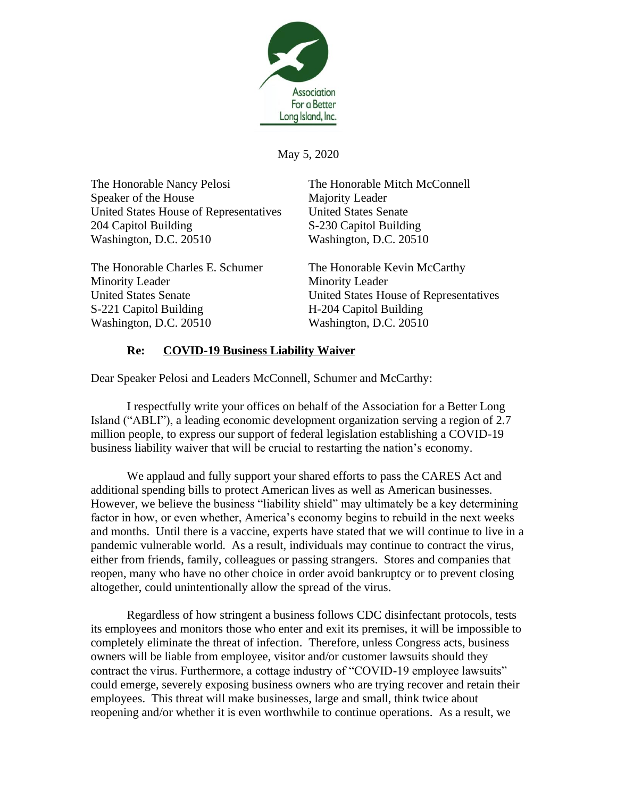

May 5, 2020

The Honorable Nancy Pelosi The Honorable Mitch McConnell Speaker of the House Majority Leader United States House of Representatives United States Senate 204 Capitol Building S-230 Capitol Building Washington, D.C. 20510 Washington, D.C. 20510

The Honorable Charles E. Schumer The Honorable Kevin McCarthy Minority Leader Minority Leader S-221 Capitol Building H-204 Capitol Building Washington, D.C. 20510 Washington, D.C. 20510

United States Senate United States House of Representatives

## **Re: COVID-19 Business Liability Waiver**

Dear Speaker Pelosi and Leaders McConnell, Schumer and McCarthy:

I respectfully write your offices on behalf of the Association for a Better Long Island ("ABLI"), a leading economic development organization serving a region of 2.7 million people, to express our support of federal legislation establishing a COVID-19 business liability waiver that will be crucial to restarting the nation's economy.

We applaud and fully support your shared efforts to pass the CARES Act and additional spending bills to protect American lives as well as American businesses. However, we believe the business "liability shield" may ultimately be a key determining factor in how, or even whether, America's economy begins to rebuild in the next weeks and months. Until there is a vaccine, experts have stated that we will continue to live in a pandemic vulnerable world. As a result, individuals may continue to contract the virus, either from friends, family, colleagues or passing strangers. Stores and companies that reopen, many who have no other choice in order avoid bankruptcy or to prevent closing altogether, could unintentionally allow the spread of the virus.

Regardless of how stringent a business follows CDC disinfectant protocols, tests its employees and monitors those who enter and exit its premises, it will be impossible to completely eliminate the threat of infection. Therefore, unless Congress acts, business owners will be liable from employee, visitor and/or customer lawsuits should they contract the virus. Furthermore, a cottage industry of "COVID-19 employee lawsuits" could emerge, severely exposing business owners who are trying recover and retain their employees. This threat will make businesses, large and small, think twice about reopening and/or whether it is even worthwhile to continue operations. As a result, we